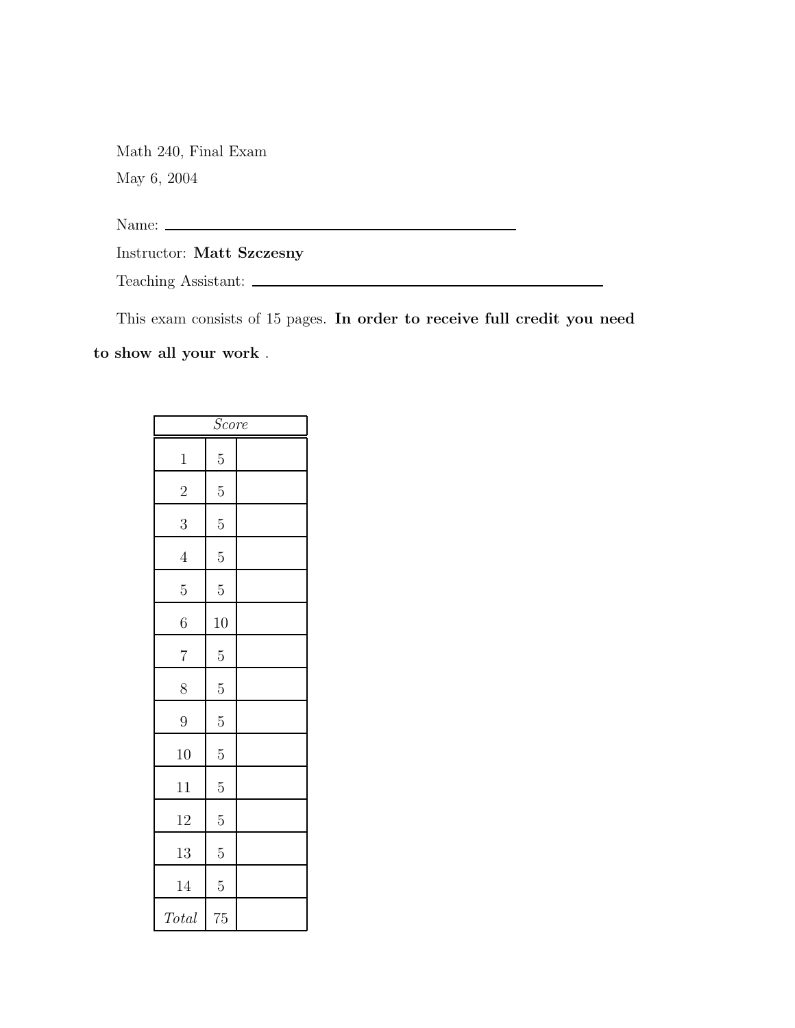Math 240, Final Exam May 6, 2004

Name:

Instructor: Matt Szczesny

Teaching Assistant:

This exam consists of 15 pages. In order to receive full credit you need

to show all your work .

| <i>Score</i>   |                |  |
|----------------|----------------|--|
| $\mathbf{1}$   | $\overline{5}$ |  |
| $\overline{2}$ | $\overline{5}$ |  |
| 3              | $\overline{5}$ |  |
| $\overline{4}$ | $\overline{5}$ |  |
| $\overline{5}$ | $\overline{5}$ |  |
| 6              | 10             |  |
| $\overline{7}$ | $\overline{5}$ |  |
| 8              | $\overline{5}$ |  |
| 9              | $\overline{5}$ |  |
| 10             | $\overline{5}$ |  |
| 11             | $\overline{5}$ |  |
| 12             | $\overline{5}$ |  |
| 13             | $\overline{5}$ |  |
| 14             | $\overline{5}$ |  |
| Total          | 75             |  |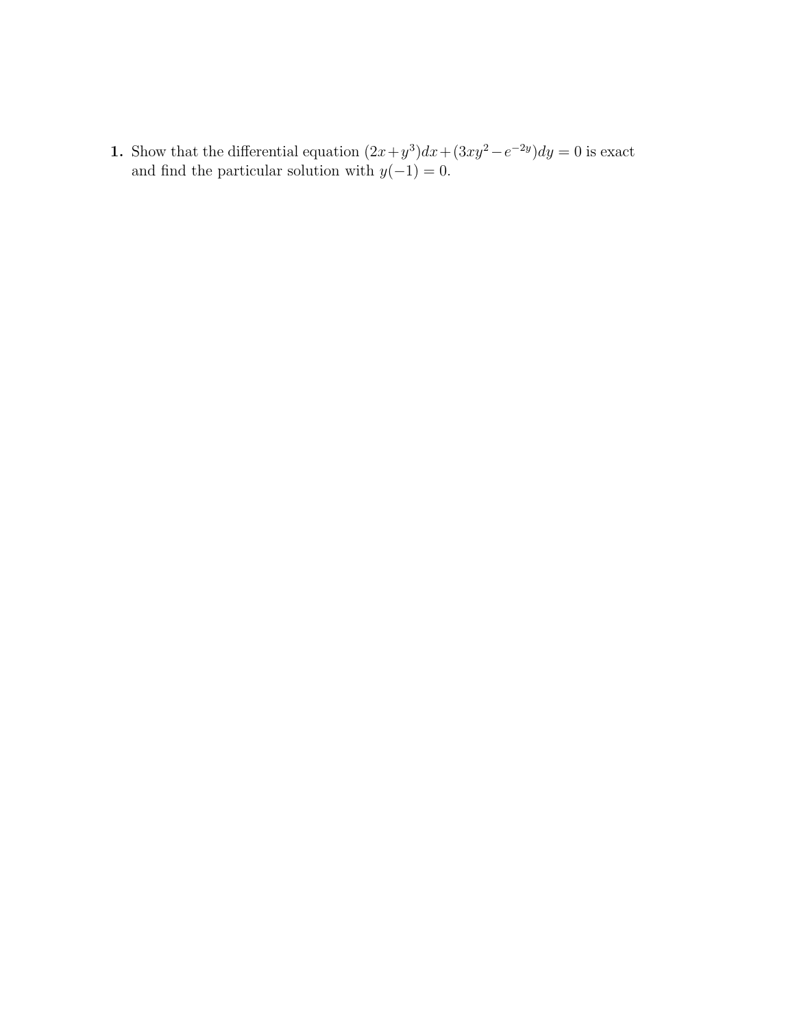1. Show that the differential equation  $(2x+y^3)dx + (3xy^2-e^{-2y})dy = 0$  is exact and find the particular solution with  $y(-1) = 0$ .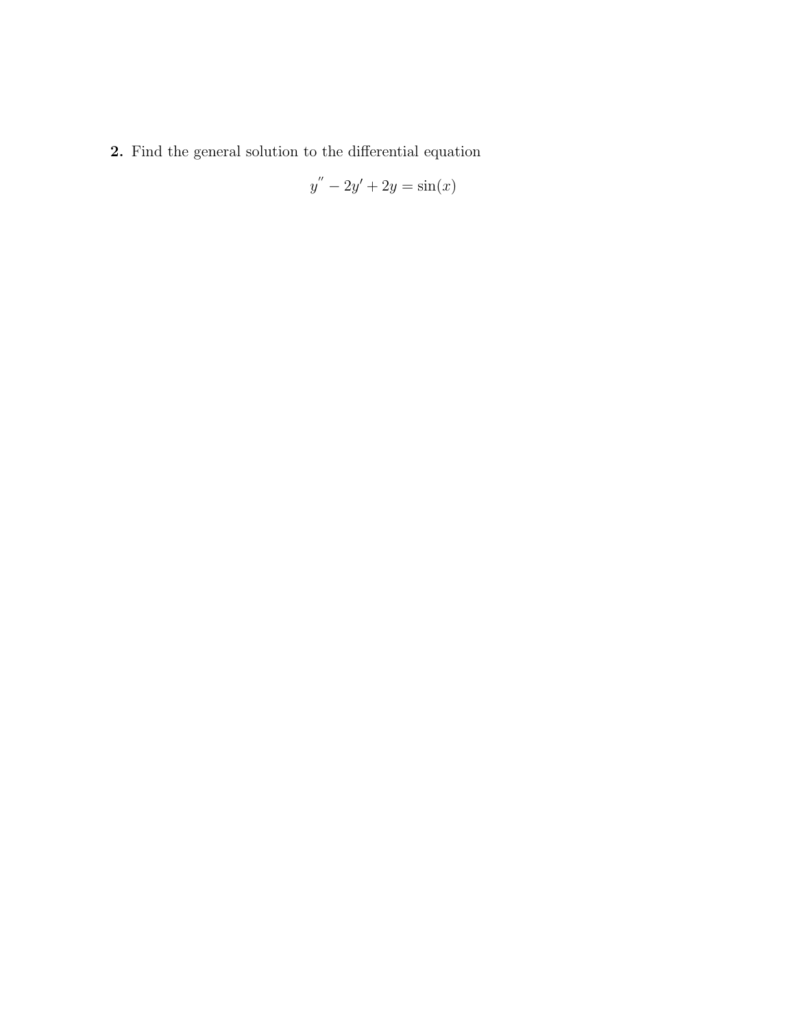2. Find the general solution to the differential equation

$$
y'' - 2y' + 2y = \sin(x)
$$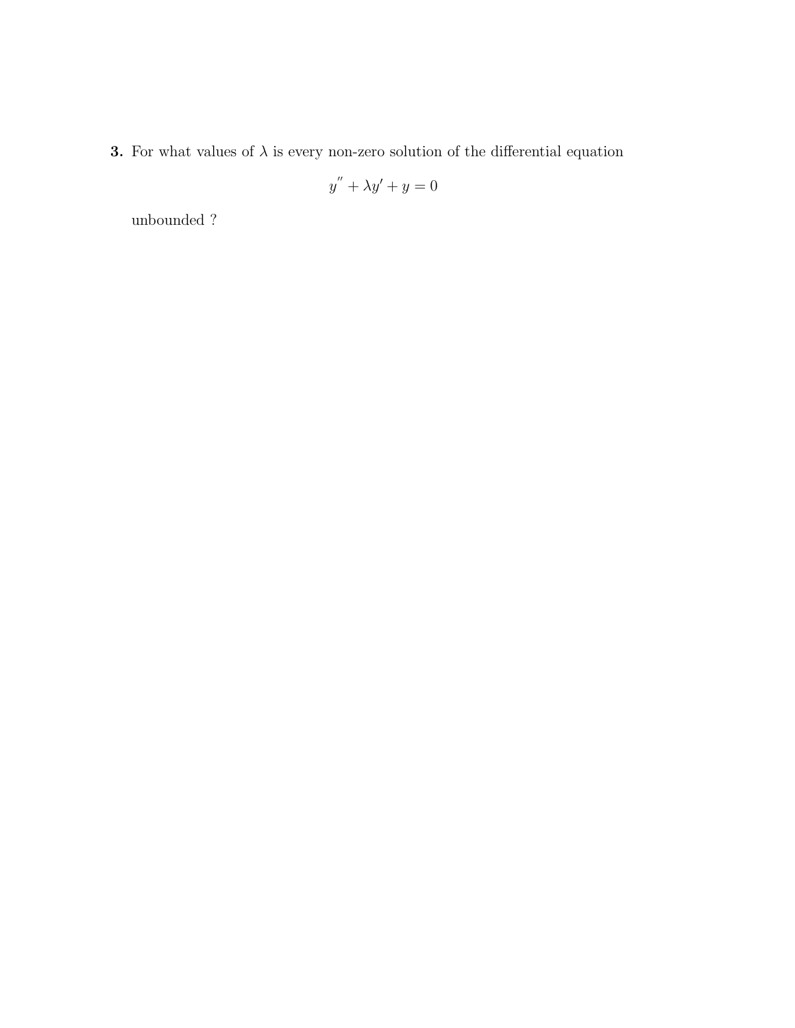**3.** For what values of  $\lambda$  is every non-zero solution of the differential equation

$$
y^{''} + \lambda y' + y = 0
$$

unbounded ?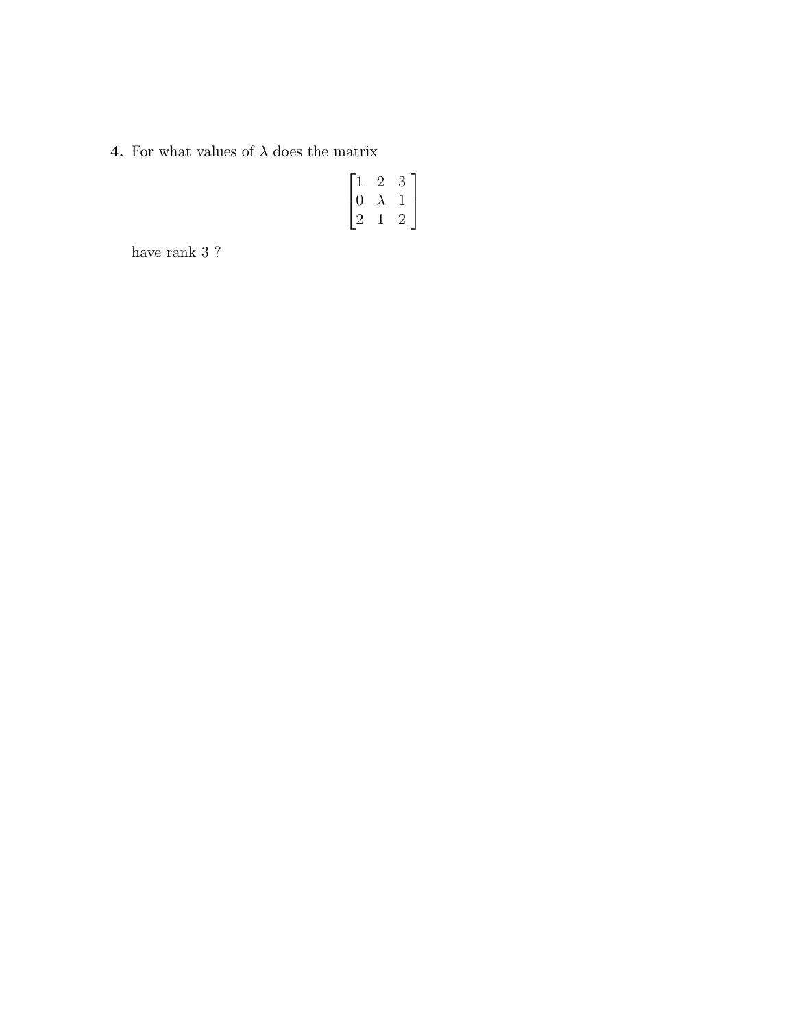**4.** For what values of  $\lambda$  does the matrix

$$
\begin{bmatrix} 1 & 2 & 3 \\ 0 & \lambda & 1 \\ 2 & 1 & 2 \end{bmatrix}
$$

have rank 3 ?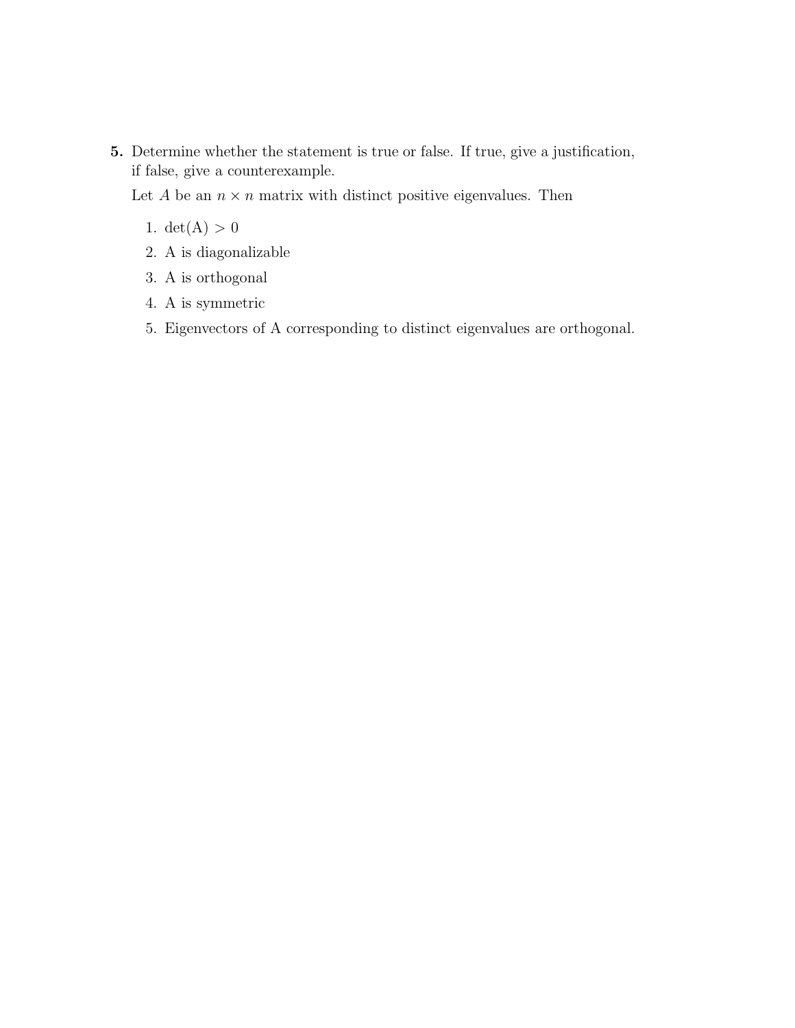5. Determine whether the statement is true or false. If true, give a justification, if false, give a counterexample.

Let A be an  $n \times n$  matrix with distinct positive eigenvalues. Then

- 1.  $det(A) > 0$
- 2. A is diagonalizable
- 3. A is orthogonal
- 4. A is symmetric
- 5. Eigenvectors of A corresponding to distinct eigenvalues are orthogonal.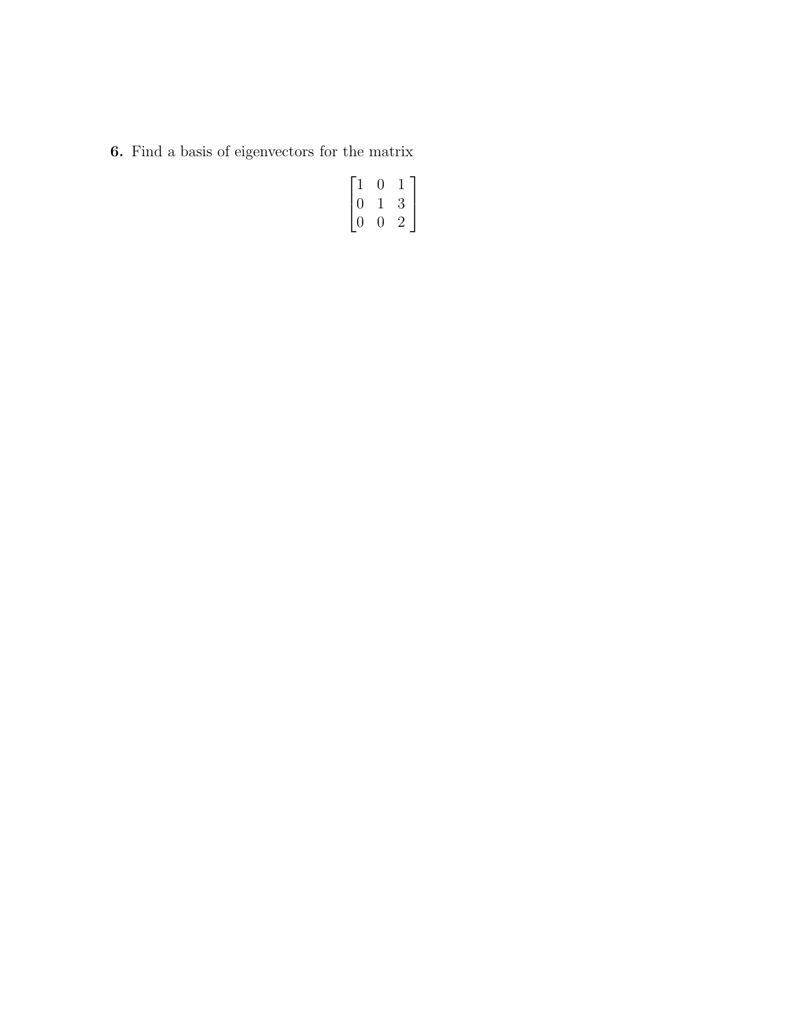6. Find a basis of eigenvectors for the matrix

$$
\begin{bmatrix} 1 & 0 & 1 \\ 0 & 1 & 3 \\ 0 & 0 & 2 \end{bmatrix}
$$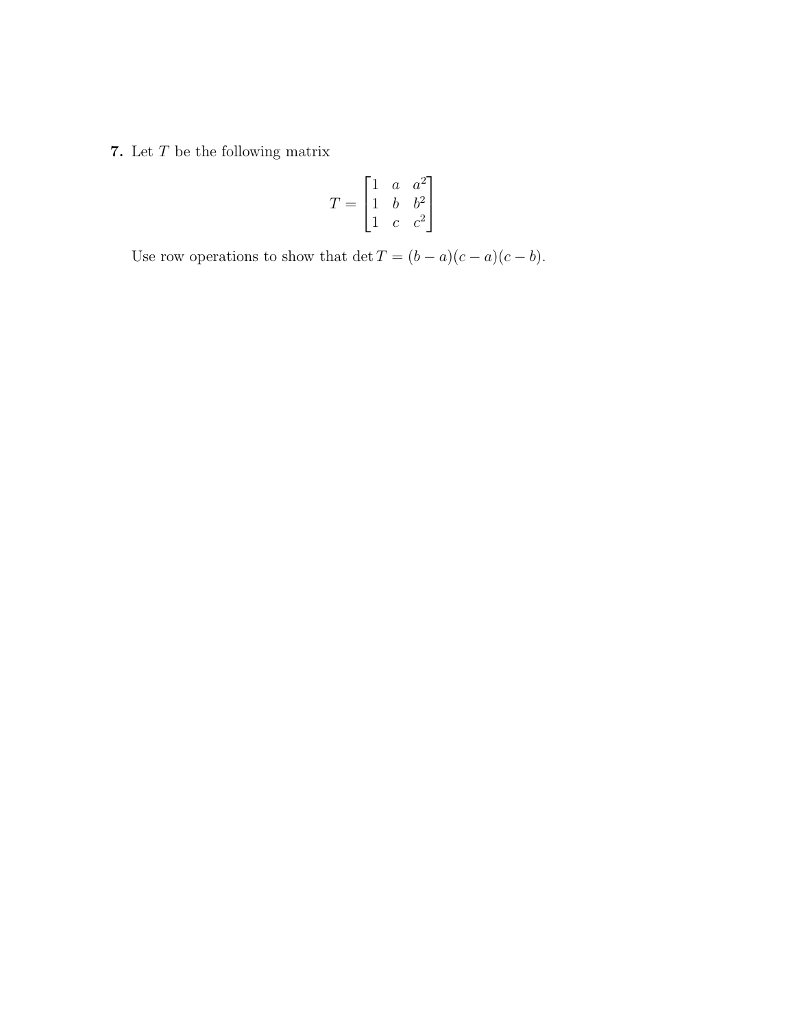7. Let  $\cal T$  be the following matrix

$$
T = \begin{bmatrix} 1 & a & a^2 \\ 1 & b & b^2 \\ 1 & c & c^2 \end{bmatrix}
$$

Use row operations to show that  $\det T = (b - a)(c - a)(c - b)$ .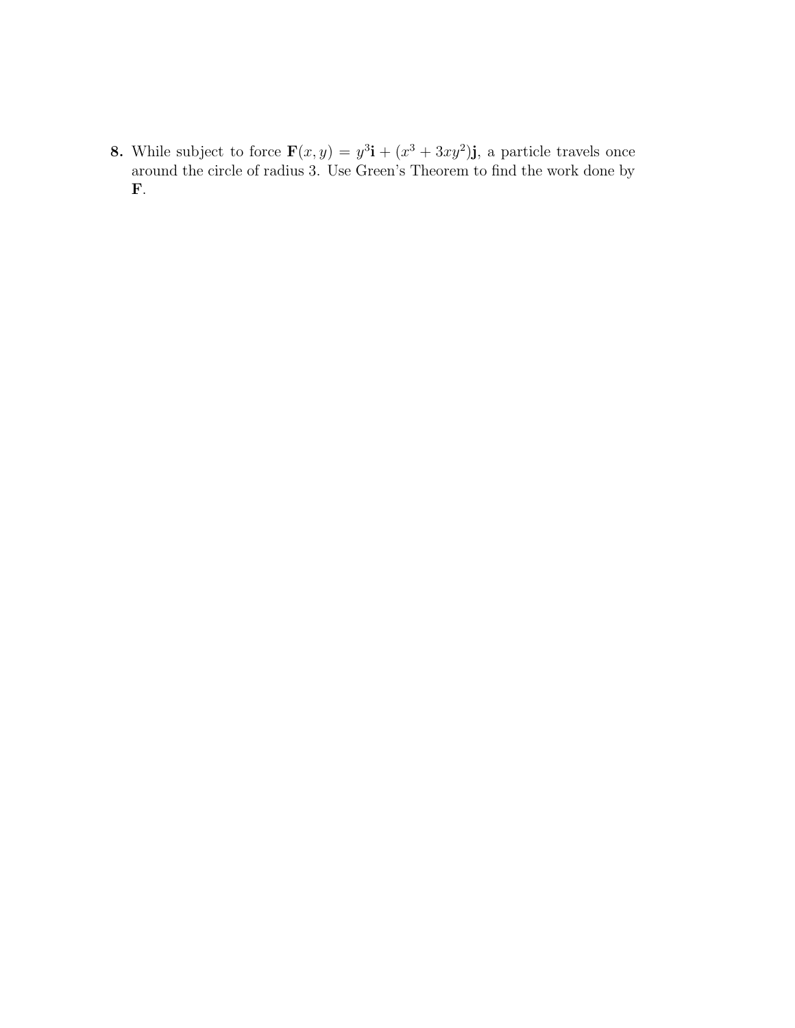**8.** While subject to force  $\mathbf{F}(x, y) = y^3\mathbf{i} + (x^3 + 3xy^2)\mathbf{j}$ , a particle travels once around the circle of radius 3. Use Green's Theorem to find the work done by F.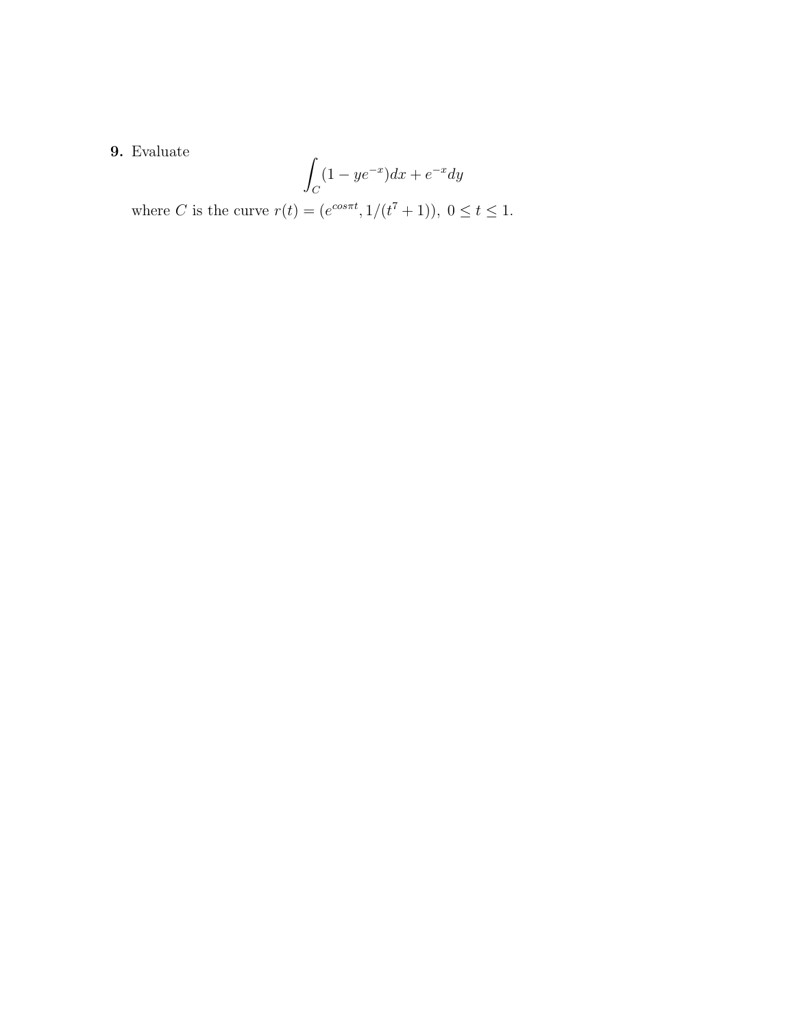## 9. Evaluate

$$
\int_C (1 - ye^{-x})dx + e^{-x}dy
$$

where *C* is the curve  $r(t) = (e^{cos\pi t}, 1/(t^7 + 1)), 0 \le t \le 1.$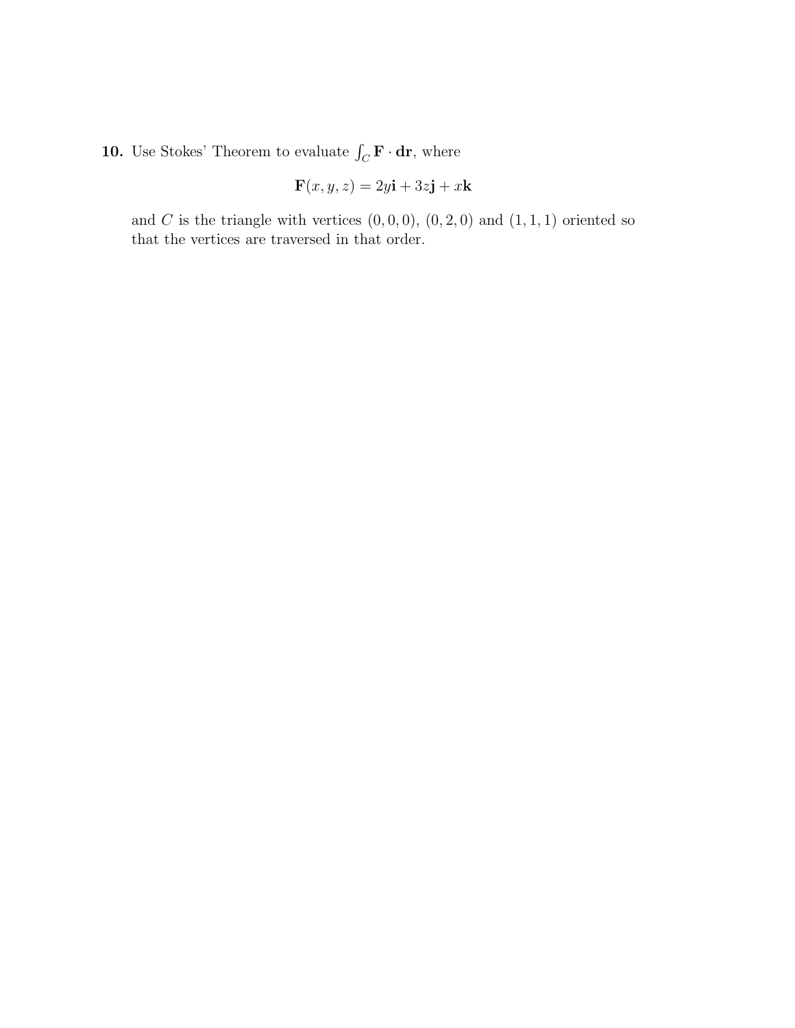**10.** Use Stokes' Theorem to evaluate  $\int_C \mathbf{F} \cdot d\mathbf{r}$ , where

$$
\mathbf{F}(x, y, z) = 2y\mathbf{i} + 3z\mathbf{j} + x\mathbf{k}
$$

and  $C$  is the triangle with vertices  $(0, 0, 0)$ ,  $(0, 2, 0)$  and  $(1, 1, 1)$  oriented so that the vertices are traversed in that order.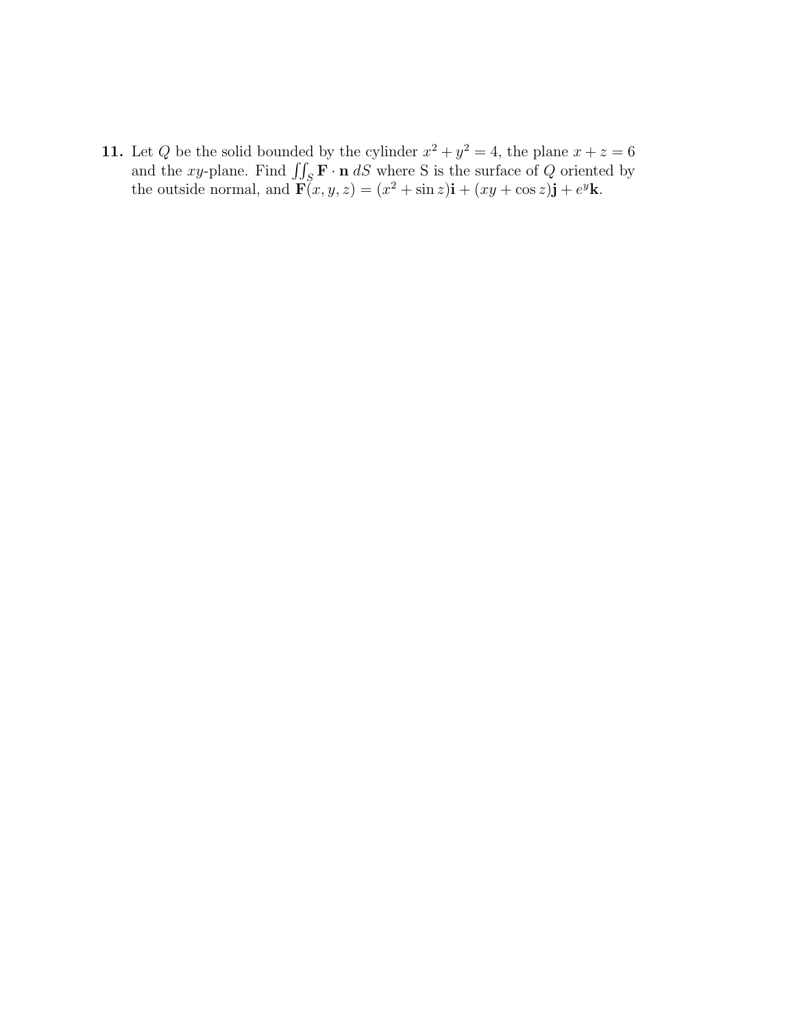11. Let Q be the solid bounded by the cylinder  $x^2 + y^2 = 4$ , the plane  $x + z = 6$ and the xy-plane. Find  $\iint_S \mathbf{F} \cdot \mathbf{n} dS$  where S is the surface of Q oriented by the outside normal, and  $\mathbf{F}(x, y, z) = (x^2 + \sin z)\mathbf{i} + (xy + \cos z)\mathbf{j} + e^y\mathbf{k}$ .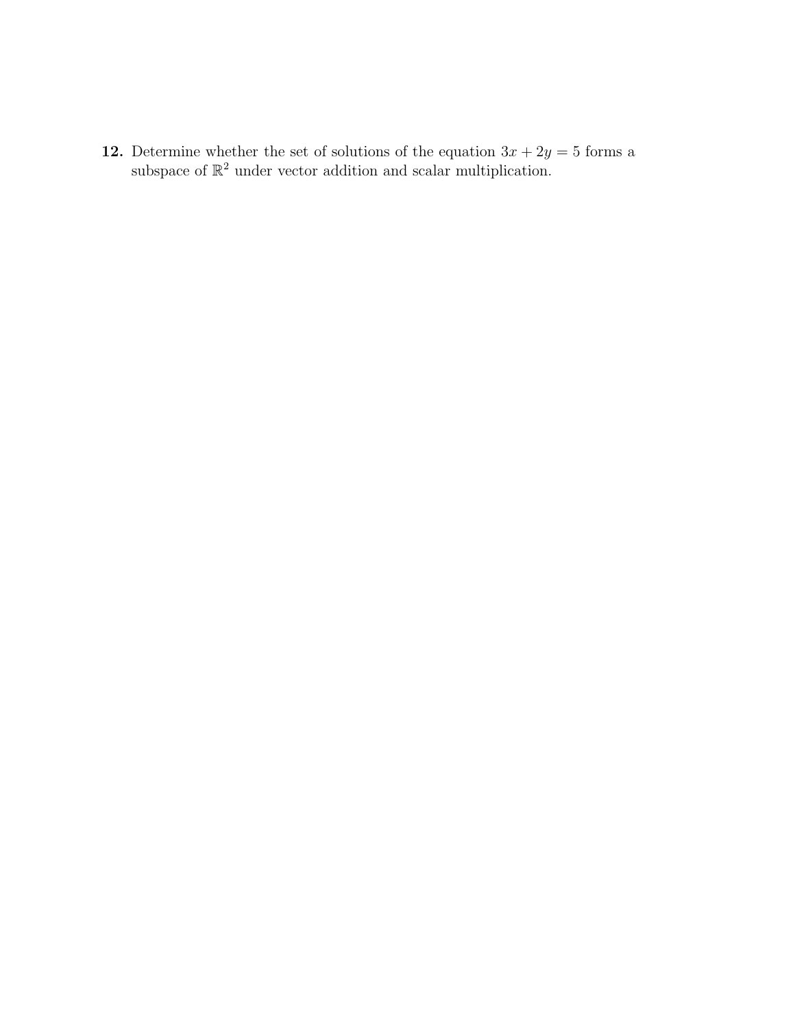**12.** Determine whether the set of solutions of the equation  $3x + 2y = 5$  forms a subspace of  $\mathbb{R}^2$  under vector addition and scalar multiplication.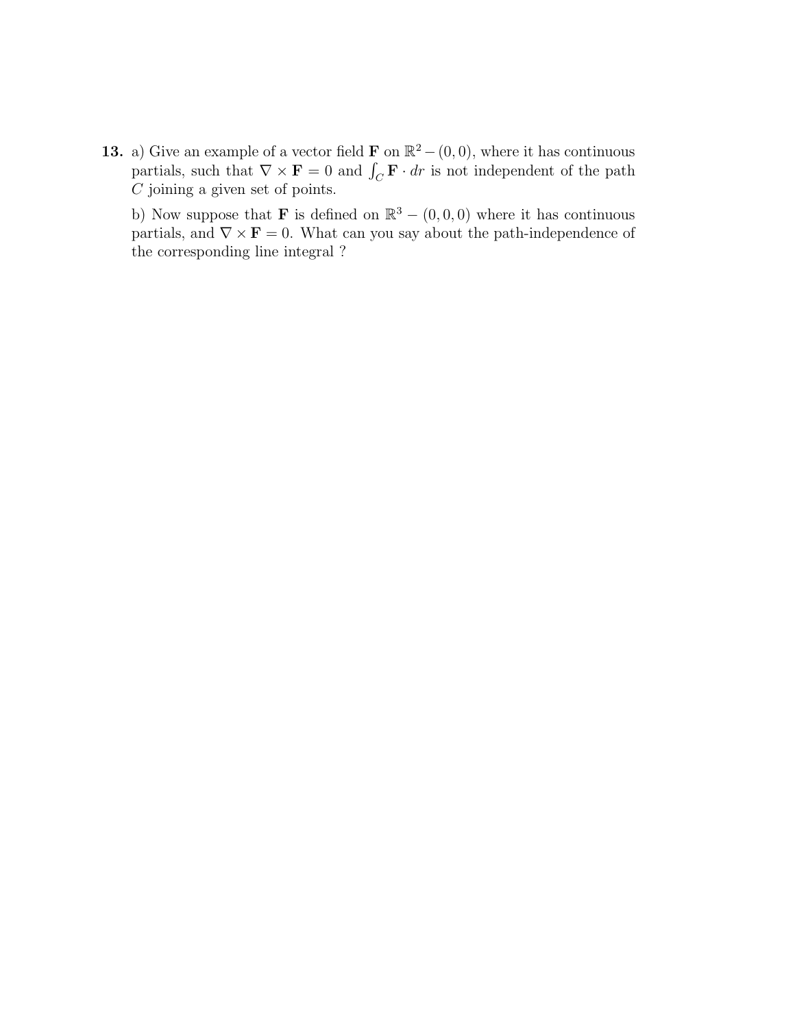13. a) Give an example of a vector field **F** on  $\mathbb{R}^2 - (0, 0)$ , where it has continuous partials, such that  $\nabla \times \mathbf{F} = 0$  and  $\int_C \mathbf{F} \cdot dr$  is not independent of the path  ${\cal C}$  joining a given set of points.

b) Now suppose that **F** is defined on  $\mathbb{R}^3 - (0,0,0)$  where it has continuous partials, and  $\nabla \times \mathbf{F} = 0$ . What can you say about the path-independence of the corresponding line integral ?